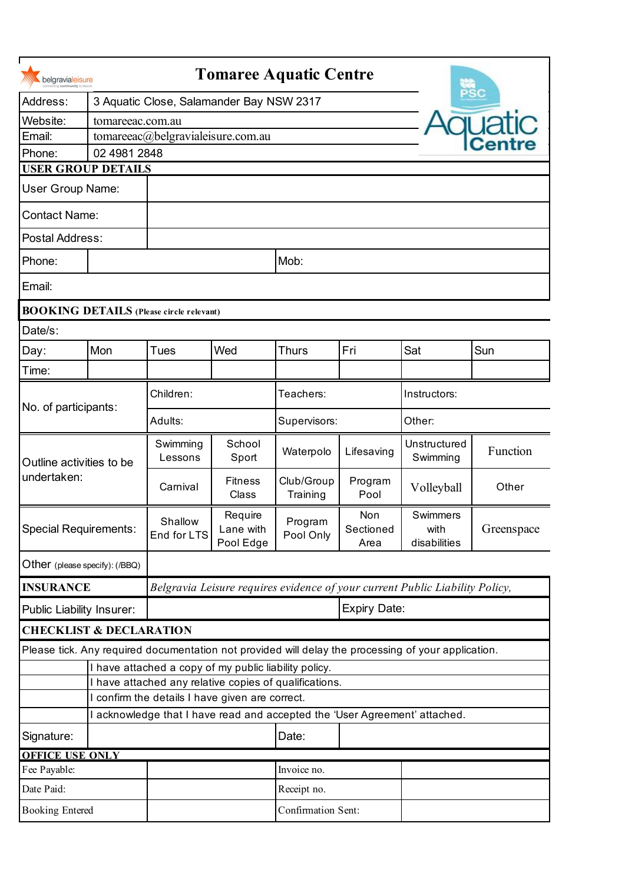| Address:<br>3 Aquatic Close, Salamander Bay NSW 2317<br>Website:<br>tomareeac.com.au<br>Email:<br>tomareeac@belgravialeisure.com.au<br>Phone:<br>02 4981 2848<br><b>USER GROUP DETAILS</b><br><b>User Group Name:</b><br><b>Contact Name:</b><br>Postal Address:<br>Mob:<br>Phone:<br>Email:<br><b>BOOKING DETAILS</b> (Please circle relevant)<br>Date/s:<br>Mon<br>Fri<br>Wed<br>Sat<br>Sun<br>Tues<br><b>Thurs</b><br>Day:<br>Time:<br>Children:<br>Teachers:<br>Instructors:<br>No. of participants:<br>Adults:<br>Supervisors:<br>Other:<br>School<br>Swimming<br>Unstructured<br>Function<br>Lifesaving<br>Waterpolo<br>Sport<br>Swimming<br>Lessons<br>Outline activities to be<br>undertaken:<br>Club/Group<br><b>Fitness</b><br>Program<br>Volleyball<br>Carnival<br>Other<br>Class<br>Training<br>Pool<br>Swimmers<br>Non<br>Require<br>Shallow<br>Program<br>Special Requirements:<br>Sectioned<br>Greenspace<br>Lane with<br>with<br>End for LTS<br>Pool Only<br>Pool Edge<br>disabilities<br>Area |
|----------------------------------------------------------------------------------------------------------------------------------------------------------------------------------------------------------------------------------------------------------------------------------------------------------------------------------------------------------------------------------------------------------------------------------------------------------------------------------------------------------------------------------------------------------------------------------------------------------------------------------------------------------------------------------------------------------------------------------------------------------------------------------------------------------------------------------------------------------------------------------------------------------------------------------------------------------------------------------------------------------------|
|                                                                                                                                                                                                                                                                                                                                                                                                                                                                                                                                                                                                                                                                                                                                                                                                                                                                                                                                                                                                                |
|                                                                                                                                                                                                                                                                                                                                                                                                                                                                                                                                                                                                                                                                                                                                                                                                                                                                                                                                                                                                                |
|                                                                                                                                                                                                                                                                                                                                                                                                                                                                                                                                                                                                                                                                                                                                                                                                                                                                                                                                                                                                                |
|                                                                                                                                                                                                                                                                                                                                                                                                                                                                                                                                                                                                                                                                                                                                                                                                                                                                                                                                                                                                                |
|                                                                                                                                                                                                                                                                                                                                                                                                                                                                                                                                                                                                                                                                                                                                                                                                                                                                                                                                                                                                                |
|                                                                                                                                                                                                                                                                                                                                                                                                                                                                                                                                                                                                                                                                                                                                                                                                                                                                                                                                                                                                                |
|                                                                                                                                                                                                                                                                                                                                                                                                                                                                                                                                                                                                                                                                                                                                                                                                                                                                                                                                                                                                                |
|                                                                                                                                                                                                                                                                                                                                                                                                                                                                                                                                                                                                                                                                                                                                                                                                                                                                                                                                                                                                                |
|                                                                                                                                                                                                                                                                                                                                                                                                                                                                                                                                                                                                                                                                                                                                                                                                                                                                                                                                                                                                                |
|                                                                                                                                                                                                                                                                                                                                                                                                                                                                                                                                                                                                                                                                                                                                                                                                                                                                                                                                                                                                                |
|                                                                                                                                                                                                                                                                                                                                                                                                                                                                                                                                                                                                                                                                                                                                                                                                                                                                                                                                                                                                                |
|                                                                                                                                                                                                                                                                                                                                                                                                                                                                                                                                                                                                                                                                                                                                                                                                                                                                                                                                                                                                                |
|                                                                                                                                                                                                                                                                                                                                                                                                                                                                                                                                                                                                                                                                                                                                                                                                                                                                                                                                                                                                                |
|                                                                                                                                                                                                                                                                                                                                                                                                                                                                                                                                                                                                                                                                                                                                                                                                                                                                                                                                                                                                                |
|                                                                                                                                                                                                                                                                                                                                                                                                                                                                                                                                                                                                                                                                                                                                                                                                                                                                                                                                                                                                                |
|                                                                                                                                                                                                                                                                                                                                                                                                                                                                                                                                                                                                                                                                                                                                                                                                                                                                                                                                                                                                                |
|                                                                                                                                                                                                                                                                                                                                                                                                                                                                                                                                                                                                                                                                                                                                                                                                                                                                                                                                                                                                                |
|                                                                                                                                                                                                                                                                                                                                                                                                                                                                                                                                                                                                                                                                                                                                                                                                                                                                                                                                                                                                                |
|                                                                                                                                                                                                                                                                                                                                                                                                                                                                                                                                                                                                                                                                                                                                                                                                                                                                                                                                                                                                                |
| Other (please specify): (/BBQ)                                                                                                                                                                                                                                                                                                                                                                                                                                                                                                                                                                                                                                                                                                                                                                                                                                                                                                                                                                                 |
| <b>INSURANCE</b><br>Belgravia Leisure requires evidence of your current Public Liability Policy,                                                                                                                                                                                                                                                                                                                                                                                                                                                                                                                                                                                                                                                                                                                                                                                                                                                                                                               |
| Expiry Date:<br>Public Liability Insurer:                                                                                                                                                                                                                                                                                                                                                                                                                                                                                                                                                                                                                                                                                                                                                                                                                                                                                                                                                                      |
| <b>CHECKLIST &amp; DECLARATION</b>                                                                                                                                                                                                                                                                                                                                                                                                                                                                                                                                                                                                                                                                                                                                                                                                                                                                                                                                                                             |
| Please tick. Any required documentation not provided will delay the processing of your application.                                                                                                                                                                                                                                                                                                                                                                                                                                                                                                                                                                                                                                                                                                                                                                                                                                                                                                            |
| I have attached a copy of my public liability policy.                                                                                                                                                                                                                                                                                                                                                                                                                                                                                                                                                                                                                                                                                                                                                                                                                                                                                                                                                          |
| I have attached any relative copies of qualifications.                                                                                                                                                                                                                                                                                                                                                                                                                                                                                                                                                                                                                                                                                                                                                                                                                                                                                                                                                         |
| I confirm the details I have given are correct.                                                                                                                                                                                                                                                                                                                                                                                                                                                                                                                                                                                                                                                                                                                                                                                                                                                                                                                                                                |
| I acknowledge that I have read and accepted the 'User Agreement' attached.                                                                                                                                                                                                                                                                                                                                                                                                                                                                                                                                                                                                                                                                                                                                                                                                                                                                                                                                     |
| Date:<br>Signature:                                                                                                                                                                                                                                                                                                                                                                                                                                                                                                                                                                                                                                                                                                                                                                                                                                                                                                                                                                                            |
| <b>OFFICE USE ONLY</b><br>Invoice no.                                                                                                                                                                                                                                                                                                                                                                                                                                                                                                                                                                                                                                                                                                                                                                                                                                                                                                                                                                          |
| Fee Payable:<br>Date Paid:<br>Receipt no.                                                                                                                                                                                                                                                                                                                                                                                                                                                                                                                                                                                                                                                                                                                                                                                                                                                                                                                                                                      |
| Confirmation Sent:<br><b>Booking Entered</b>                                                                                                                                                                                                                                                                                                                                                                                                                                                                                                                                                                                                                                                                                                                                                                                                                                                                                                                                                                   |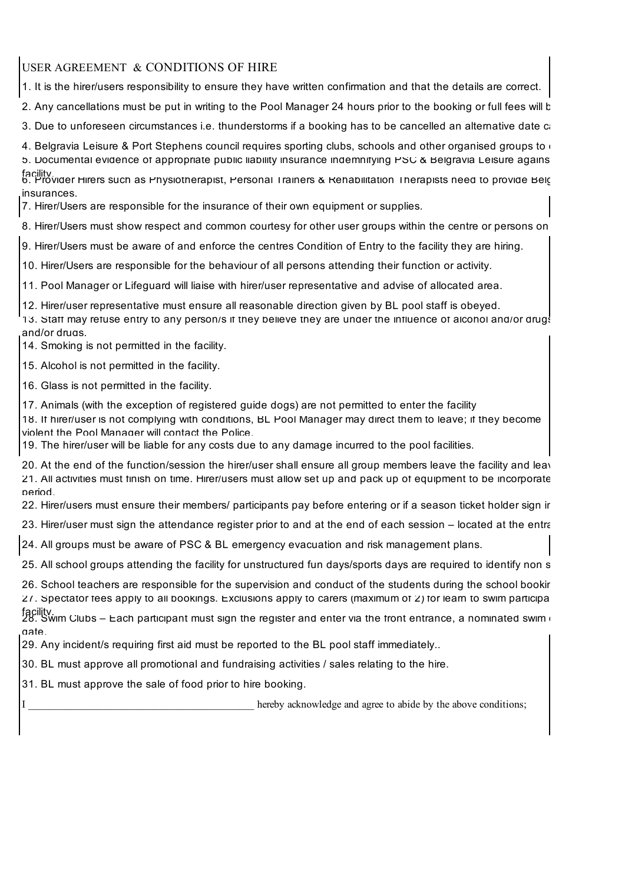USER AGREEMENT & CONDITIONS OF HIRE

1. It is the hirer/users responsibility to ensure they have written confirmation and that the details are correct.

2. Any cancellations must be put in writing to the Pool Manager 24 hours prior to the booking or full fees will b

3. Due to unforeseen circumstances i.e. thunderstorms if a booking has to be cancelled an alternative date  $c_i$ 

4. Belgravia Leisure & Port Stephens council requires sporting clubs, schools and other organised groups to  $\epsilon$ 

5. Documental evidence of appropriate public liability insurance indemnifying PSC & Belgravia Leisure agains

facility.<br>6. Provider Hirers such as Physiotherapist, Personal Trainers & Rehabilitation Therapists need to provide Belg insurances.

7. Hirer/Users are responsible for the insurance of their own equipment or supplies.

8. Hirer/Users must show respect and common courtesy for other user groups within the centre or persons on

9. Hirer/Users must be aware of and enforce the centres Condition of Entry to the facility they are hiring.

10. Hirer/Users are responsible for the behaviour of all persons attending their function or activity.

11. Pool Manager or Lifeguard will liaise with hirer/user representative and advise of allocated area.

12. Hirer/user representative must ensure all reasonable direction given by BL pool staff is obeyed.

13. Staff may refuse entry to any person/s if they believe they are under the influence of alcohol and/or drugs and/or drugs.

14. Smoking is not permitted in the facility.

15. Alcohol is not permitted in the facility.

16. Glass is not permitted in the facility.

17. Animals (with the exception of registered guide dogs) are not permitted to enter the facility

18. If hirer/user is not complying with conditions, BL Pool Manager may direct them to leave; if they become violent the Pool Manager will contact the Police.

19. The hirer/user will be liable for any costs due to any damage incurred to the pool facilities.

20. At the end of the function/session the hirer/user shall ensure all group members leave the facility and leav 21. All activities must finish on time. Hirer/users must allow set up and pack up of equipment to be incorporate period.

22. Hirer/users must ensure their members/ participants pay before entering or if a season ticket holder sign ir

23. Hirer/user must sign the attendance register prior to and at the end of each session – located at the entra

24. All groups must be aware of PSC & BL emergency evacuation and risk management plans.

25. All school groups attending the facility for unstructured fun days/sports days are required to identify non s

26. School teachers are responsible for the supervision and conduct of the students during the school bookir  $27.$  Spectator fees apply to all bookings. Exclusions apply to carers (maximum of  $2$ ) for learn to swim participa

facility.<br>28. Swim Clubs – Each participant must sign the register and enter via the front entrance, a nominated swim i gate.

29. Any incident/s requiring first aid must be reported to the BL pool staff immediately..

30. BL must approve all promotional and fundraising activities / sales relating to the hire.

31. BL must approve the sale of food prior to hire booking.

hereby acknowledge and agree to abide by the above conditions;